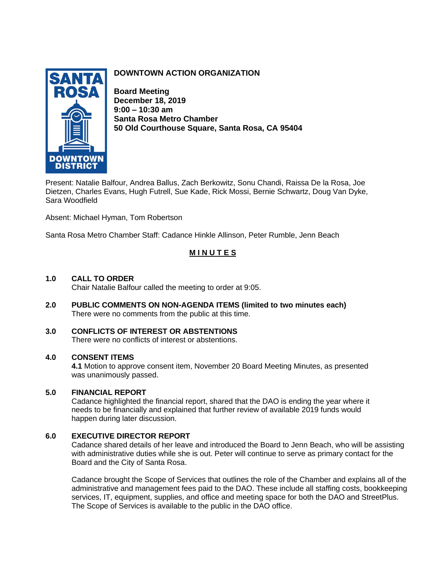

## **DOWNTOWN ACTION ORGANIZATION**

**Board Meeting December 18, 2019 9:00 – 10:30 am Santa Rosa Metro Chamber 50 Old Courthouse Square, Santa Rosa, CA 95404**

Present: Natalie Balfour, Andrea Ballus, Zach Berkowitz, Sonu Chandi, Raissa De la Rosa, Joe Dietzen, Charles Evans, Hugh Futrell, Sue Kade, Rick Mossi, Bernie Schwartz, Doug Van Dyke, Sara Woodfield

Absent: Michael Hyman, Tom Robertson

Santa Rosa Metro Chamber Staff: Cadance Hinkle Allinson, Peter Rumble, Jenn Beach

## **M I N U T E S**

### **1.0 CALL TO ORDER**

Chair Natalie Balfour called the meeting to order at 9:05.

**2.0 PUBLIC COMMENTS ON NON-AGENDA ITEMS (limited to two minutes each)** There were no comments from the public at this time.

#### **3.0 CONFLICTS OF INTEREST OR ABSTENTIONS**  There were no conflicts of interest or abstentions.

# **4.0 CONSENT ITEMS**

**4.1** Motion to approve consent item, November 20 Board Meeting Minutes, as presented was unanimously passed.

### **5.0 FINANCIAL REPORT**

Cadance highlighted the financial report, shared that the DAO is ending the year where it needs to be financially and explained that further review of available 2019 funds would happen during later discussion.

## **6.0 EXECUTIVE DIRECTOR REPORT**

Cadance shared details of her leave and introduced the Board to Jenn Beach, who will be assisting with administrative duties while she is out. Peter will continue to serve as primary contact for the Board and the City of Santa Rosa.

Cadance brought the Scope of Services that outlines the role of the Chamber and explains all of the administrative and management fees paid to the DAO. These include all staffing costs, bookkeeping services, IT, equipment, supplies, and office and meeting space for both the DAO and StreetPlus. The Scope of Services is available to the public in the DAO office.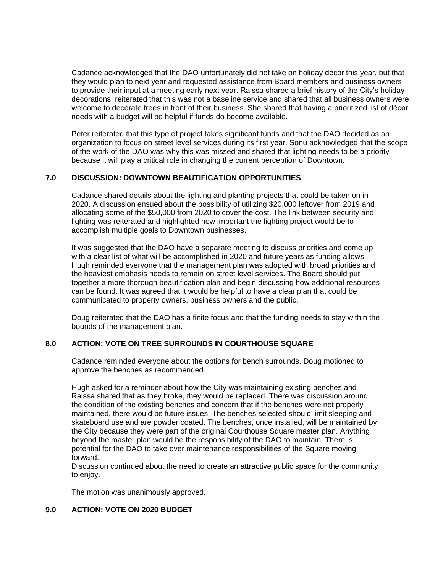Cadance acknowledged that the DAO unfortunately did not take on holiday décor this year, but that they would plan to next year and requested assistance from Board members and business owners to provide their input at a meeting early next year. Raissa shared a brief history of the City's holiday decorations, reiterated that this was not a baseline service and shared that all business owners were welcome to decorate trees in front of their business. She shared that having a prioritized list of décor needs with a budget will be helpful if funds do become available.

Peter reiterated that this type of project takes significant funds and that the DAO decided as an organization to focus on street level services during its first year. Sonu acknowledged that the scope of the work of the DAO was why this was missed and shared that lighting needs to be a priority because it will play a critical role in changing the current perception of Downtown.

## **7.0 DISCUSSION: DOWNTOWN BEAUTIFICATION OPPORTUNITIES**

Cadance shared details about the lighting and planting projects that could be taken on in 2020. A discussion ensued about the possibility of utilizing \$20,000 leftover from 2019 and allocating some of the \$50,000 from 2020 to cover the cost. The link between security and lighting was reiterated and highlighted how important the lighting project would be to accomplish multiple goals to Downtown businesses.

It was suggested that the DAO have a separate meeting to discuss priorities and come up with a clear list of what will be accomplished in 2020 and future years as funding allows. Hugh reminded everyone that the management plan was adopted with broad priorities and the heaviest emphasis needs to remain on street level services. The Board should put together a more thorough beautification plan and begin discussing how additional resources can be found. It was agreed that it would be helpful to have a clear plan that could be communicated to property owners, business owners and the public.

Doug reiterated that the DAO has a finite focus and that the funding needs to stay within the bounds of the management plan.

### **8.0 ACTION: VOTE ON TREE SURROUNDS IN COURTHOUSE SQUARE**

Cadance reminded everyone about the options for bench surrounds. Doug motioned to approve the benches as recommended.

Hugh asked for a reminder about how the City was maintaining existing benches and Raissa shared that as they broke, they would be replaced. There was discussion around the condition of the existing benches and concern that if the benches were not properly maintained, there would be future issues. The benches selected should limit sleeping and skateboard use and are powder coated. The benches, once installed, will be maintained by the City because they were part of the original Courthouse Square master plan. Anything beyond the master plan would be the responsibility of the DAO to maintain. There is potential for the DAO to take over maintenance responsibilities of the Square moving forward.

Discussion continued about the need to create an attractive public space for the community to enjoy.

The motion was unanimously approved.

## **9.0 ACTION: VOTE ON 2020 BUDGET**